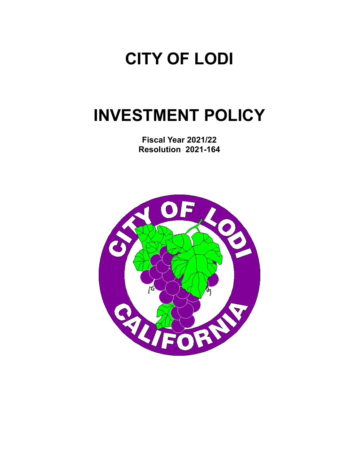# **CITY OF LODI**

# **INVESTMENT POLICY**

**Fiscal Year 2021/22 Resolution 2021-164** 

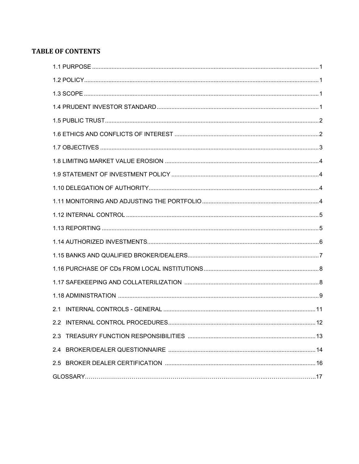# **TABLE OF CONTENTS**

| 2.1 |
|-----|
| .12 |
| 2.3 |
|     |
|     |
|     |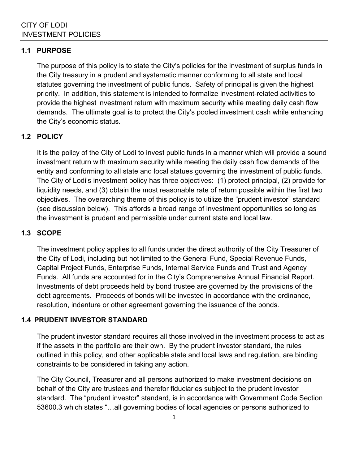#### **1.1 PURPOSE**

The purpose of this policy is to state the City's policies for the investment of surplus funds in the City treasury in a prudent and systematic manner conforming to all state and local statutes governing the investment of public funds. Safety of principal is given the highest priority. In addition, this statement is intended to formalize investment-related activities to provide the highest investment return with maximum security while meeting daily cash flow demands. The ultimate goal is to protect the City's pooled investment cash while enhancing the City's economic status.

## **1.2 POLICY**

It is the policy of the City of Lodi to invest public funds in a manner which will provide a sound investment return with maximum security while meeting the daily cash flow demands of the entity and conforming to all state and local statues governing the investment of public funds. The City of Lodi's investment policy has three objectives: (1) protect principal, (2) provide for liquidity needs, and (3) obtain the most reasonable rate of return possible within the first two objectives. The overarching theme of this policy is to utilize the "prudent investor" standard (see discussion below). This affords a broad range of investment opportunities so long as the investment is prudent and permissible under current state and local law.

## **1.3 SCOPE**

The investment policy applies to all funds under the direct authority of the City Treasurer of the City of Lodi, including but not limited to the General Fund, Special Revenue Funds, Capital Project Funds, Enterprise Funds, Internal Service Funds and Trust and Agency Funds. All funds are accounted for in the City's Comprehensive Annual Financial Report. Investments of debt proceeds held by bond trustee are governed by the provisions of the debt agreements. Proceeds of bonds will be invested in accordance with the ordinance, resolution, indenture or other agreement governing the issuance of the bonds.

## **1.4 PRUDENT INVESTOR STANDARD**

The prudent investor standard requires all those involved in the investment process to act as if the assets in the portfolio are their own. By the prudent investor standard, the rules outlined in this policy, and other applicable state and local laws and regulation, are binding constraints to be considered in taking any action.

The City Council, Treasurer and all persons authorized to make investment decisions on behalf of the City are trustees and therefor fiduciaries subject to the prudent investor standard. The "prudent investor" standard, is in accordance with Government Code Section 53600.3 which states "…all governing bodies of local agencies or persons authorized to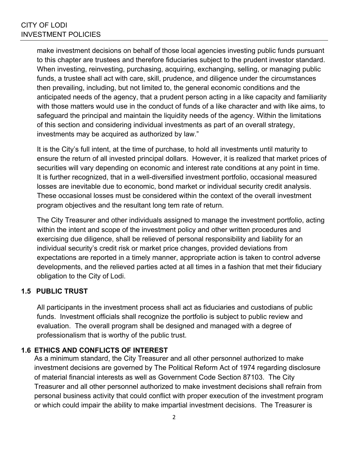make investment decisions on behalf of those local agencies investing public funds pursuant to this chapter are trustees and therefore fiduciaries subject to the prudent investor standard. When investing, reinvesting, purchasing, acquiring, exchanging, selling, or managing public funds, a trustee shall act with care, skill, prudence, and diligence under the circumstances then prevailing, including, but not limited to, the general economic conditions and the anticipated needs of the agency, that a prudent person acting in a like capacity and familiarity with those matters would use in the conduct of funds of a like character and with like aims, to safeguard the principal and maintain the liquidity needs of the agency. Within the limitations of this section and considering individual investments as part of an overall strategy, investments may be acquired as authorized by law."

It is the City's full intent, at the time of purchase, to hold all investments until maturity to ensure the return of all invested principal dollars. However, it is realized that market prices of securities will vary depending on economic and interest rate conditions at any point in time. It is further recognized, that in a well-diversified investment portfolio, occasional measured losses are inevitable due to economic, bond market or individual security credit analysis. These occasional losses must be considered within the context of the overall investment program objectives and the resultant long tem rate of return.

The City Treasurer and other individuals assigned to manage the investment portfolio, acting within the intent and scope of the investment policy and other written procedures and exercising due diligence, shall be relieved of personal responsibility and liability for an individual security's credit risk or market price changes, provided deviations from expectations are reported in a timely manner, appropriate action is taken to control adverse developments, and the relieved parties acted at all times in a fashion that met their fiduciary obligation to the City of Lodi.

## **1.5 PUBLIC TRUST**

All participants in the investment process shall act as fiduciaries and custodians of public funds. Investment officials shall recognize the portfolio is subject to public review and evaluation. The overall program shall be designed and managed with a degree of professionalism that is worthy of the public trust.

#### **1.6 ETHICS AND CONFLICTS OF INTEREST**

As a minimum standard, the City Treasurer and all other personnel authorized to make investment decisions are governed by The Political Reform Act of 1974 regarding disclosure of material financial interests as well as Government Code Section 87103. The City Treasurer and all other personnel authorized to make investment decisions shall refrain from personal business activity that could conflict with proper execution of the investment program or which could impair the ability to make impartial investment decisions. The Treasurer is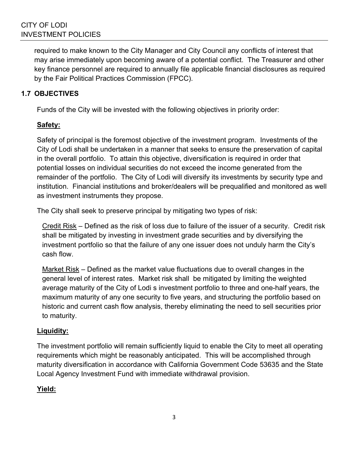required to make known to the City Manager and City Council any conflicts of interest that may arise immediately upon becoming aware of a potential conflict. The Treasurer and other key finance personnel are required to annually file applicable financial disclosures as required by the Fair Political Practices Commission (FPCC).

## **1.7 OBJECTIVES**

Funds of the City will be invested with the following objectives in priority order:

## **Safety:**

Safety of principal is the foremost objective of the investment program. Investments of the City of Lodi shall be undertaken in a manner that seeks to ensure the preservation of capital in the overall portfolio. To attain this objective, diversification is required in order that potential losses on individual securities do not exceed the income generated from the remainder of the portfolio. The City of Lodi will diversify its investments by security type and institution. Financial institutions and broker/dealers will be prequalified and monitored as well as investment instruments they propose.

The City shall seek to preserve principal by mitigating two types of risk:

Credit Risk – Defined as the risk of loss due to failure of the issuer of a security. Credit risk shall be mitigated by investing in investment grade securities and by diversifying the investment portfolio so that the failure of any one issuer does not unduly harm the City's cash flow.

Market Risk – Defined as the market value fluctuations due to overall changes in the general level of interest rates. Market risk shall be mitigated by limiting the weighted average maturity of the City of Lodi s investment portfolio to three and one-half years, the maximum maturity of any one security to five years, and structuring the portfolio based on historic and current cash flow analysis, thereby eliminating the need to sell securities prior to maturity.

# **Liquidity:**

The investment portfolio will remain sufficiently liquid to enable the City to meet all operating requirements which might be reasonably anticipated. This will be accomplished through maturity diversification in accordance with California Government Code 53635 and the State Local Agency Investment Fund with immediate withdrawal provision.

# **Yield:**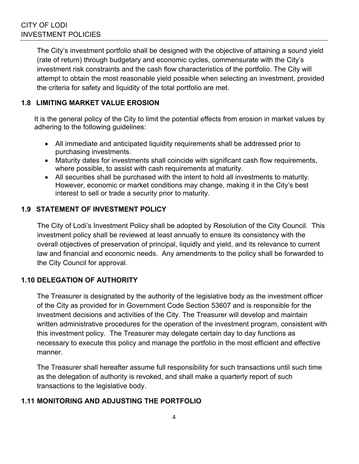The City's investment portfolio shall be designed with the objective of attaining a sound yield (rate of return) through budgetary and economic cycles, commensurate with the City's investment risk constraints and the cash flow characteristics of the portfolio. The City will attempt to obtain the most reasonable yield possible when selecting an investment, provided the criteria for safety and liquidity of the total portfolio are met.

## **1.8 LIMITING MARKET VALUE EROSION**

It is the general policy of the City to limit the potential effects from erosion in market values by adhering to the following guidelines:

- All immediate and anticipated liquidity requirements shall be addressed prior to purchasing investments.
- Maturity dates for investments shall coincide with significant cash flow requirements, where possible, to assist with cash requirements at maturity.
- All securities shall be purchased with the intent to hold all investments to maturity. However, economic or market conditions may change, making it in the City's best interest to sell or trade a security prior to maturity.

## **1.9 STATEMENT OF INVESTMENT POLICY**

The City of Lodi's Investment Policy shall be adopted by Resolution of the City Council. This investment policy shall be reviewed at least annually to ensure its consistency with the overall objectives of preservation of principal, liquidly and yield, and its relevance to current law and financial and economic needs. Any amendments to the policy shall be forwarded to the City Council for approval.

## **1.10 DELEGATION OF AUTHORITY**

The Treasurer is designated by the authority of the legislative body as the investment officer of the City as provided for in Government Code Section 53607 and is responsible for the investment decisions and activities of the City. The Treasurer will develop and maintain written administrative procedures for the operation of the investment program, consistent with this investment policy. The Treasurer may delegate certain day to day functions as necessary to execute this policy and manage the portfolio in the most efficient and effective manner.

The Treasurer shall hereafter assume full responsibility for such transactions until such time as the delegation of authority is revoked, and shall make a quarterly report of such transactions to the legislative body.

## **1.11 MONITORING AND ADJUSTING THE PORTFOLIO**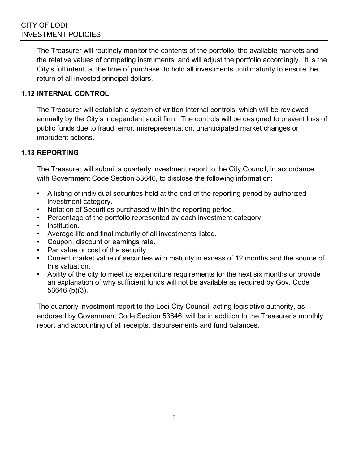The Treasurer will routinely monitor the contents of the portfolio, the available markets and the relative values of competing instruments, and will adjust the portfolio accordingly. It is the City's full intent, at the time of purchase, to hold all investments until maturity to ensure the return of all invested principal dollars.

## **1.12 INTERNAL CONTROL**

The Treasurer will establish a system of written internal controls, which will be reviewed annually by the City's independent audit firm. The controls will be designed to prevent loss of public funds due to fraud, error, misrepresentation, unanticipated market changes or imprudent actions.

## **1.13 REPORTING**

The Treasurer will submit a quarterly investment report to the City Council, in accordance with Government Code Section 53646, to disclose the following information:

- A listing of individual securities held at the end of the reporting period by authorized investment category.
- Notation of Securities purchased within the reporting period.
- Percentage of the portfolio represented by each investment category.
- Institution.
- Average life and final maturity of all investments listed.
- Coupon, discount or earnings rate.
- Par value or cost of the security
- Current market value of securities with maturity in excess of 12 months and the source of this valuation.
- Ability of the city to meet its expenditure requirements for the next six months or provide an explanation of why sufficient funds will not be available as required by Gov. Code 53646 (b)(3).

The quarterly investment report to the Lodi City Council, acting legislative authority, as endorsed by Government Code Section 53646, will be in addition to the Treasurer's monthly report and accounting of all receipts, disbursements and fund balances.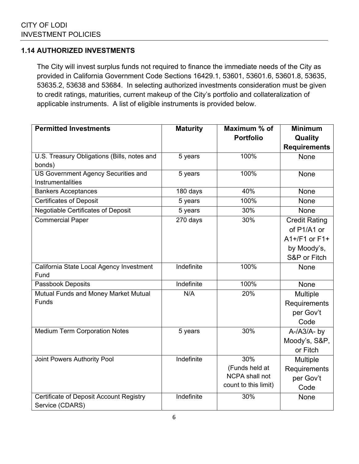## **1.14 AUTHORIZED INVESTMENTS**

The City will invest surplus funds not required to finance the immediate needs of the City as provided in California Government Code Sections 16429.1, 53601, 53601.6, 53601.8, 53635, 53635.2, 53638 and 53684. In selecting authorized investments consideration must be given to credit ratings, maturities, current makeup of the City's portfolio and collateralization of applicable instruments. A list of eligible instruments is provided below.

| <b>Permitted Investments</b>                | <b>Maturity</b>       | Maximum % of         | <b>Minimum</b>       |
|---------------------------------------------|-----------------------|----------------------|----------------------|
|                                             |                       | <b>Portfolio</b>     | Quality              |
|                                             |                       |                      | <b>Requirements</b>  |
| U.S. Treasury Obligations (Bills, notes and | 5 years               | 100%                 | None                 |
| bonds)                                      |                       |                      |                      |
| <b>US Government Agency Securities and</b>  | 5 years               | 100%                 | <b>None</b>          |
| Instrumentalities                           |                       |                      |                      |
| <b>Bankers Acceptances</b>                  | 180 days              | 40%                  | None                 |
| <b>Certificates of Deposit</b>              | 5 years               | 100%                 | None                 |
| <b>Negotiable Certificates of Deposit</b>   | $5$ years             | 30%                  | None                 |
| <b>Commercial Paper</b>                     | $\overline{270}$ days | 30%                  | <b>Credit Rating</b> |
|                                             |                       |                      | of P1/A1 or          |
|                                             |                       |                      | $A1+/F1$ or $F1+$    |
|                                             |                       |                      | by Moody's,          |
|                                             |                       |                      | S&P or Fitch         |
| California State Local Agency Investment    | Indefinite            | 100%                 | None                 |
| Fund                                        |                       |                      |                      |
| Passbook Deposits                           | Indefinite            | 100%                 | <b>None</b>          |
| Mutual Funds and Money Market Mutual        | N/A                   | 20%                  | Multiple             |
| <b>Funds</b>                                |                       |                      | Requirements         |
|                                             |                       |                      | per Gov't            |
|                                             |                       |                      | Code                 |
| <b>Medium Term Corporation Notes</b>        | 5 years               | 30%                  | $A$ -/A3/A-by        |
|                                             |                       |                      | Moody's, S&P,        |
|                                             |                       |                      | or Fitch             |
| Joint Powers Authority Pool                 | Indefinite            | 30%                  | Multiple             |
|                                             |                       | (Funds held at       | Requirements         |
|                                             |                       | NCPA shall not       | per Gov't            |
|                                             |                       | count to this limit) | Code                 |
| Certificate of Deposit Account Registry     | Indefinite            | 30%                  | None                 |
| Service (CDARS)                             |                       |                      |                      |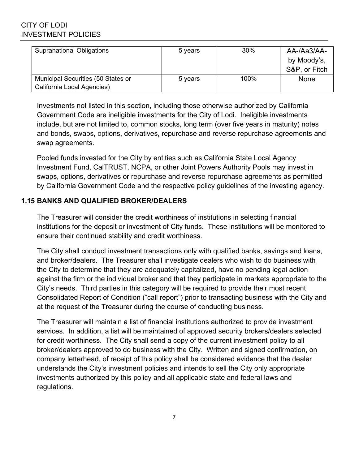| <b>Supranational Obligations</b>                                 | 5 years | 30%     | AA-/Aa3/AA-<br>by Moody's,<br>S&P, or Fitch |
|------------------------------------------------------------------|---------|---------|---------------------------------------------|
| Municipal Securities (50 States or<br>California Local Agencies) | 5 years | $100\%$ | None                                        |

Investments not listed in this section, including those otherwise authorized by California Government Code are ineligible investments for the City of Lodi. Ineligible investments include, but are not limited to, common stocks, long term (over five years in maturity) notes and bonds, swaps, options, derivatives, repurchase and reverse repurchase agreements and swap agreements.

Pooled funds invested for the City by entities such as California State Local Agency Investment Fund, CalTRUST, NCPA, or other Joint Powers Authority Pools may invest in swaps, options, derivatives or repurchase and reverse repurchase agreements as permitted by California Government Code and the respective policy guidelines of the investing agency.

## **1.15 BANKS AND QUALIFIED BROKER/DEALERS**

The Treasurer will consider the credit worthiness of institutions in selecting financial institutions for the deposit or investment of City funds. These institutions will be monitored to ensure their continued stability and credit worthiness.

The City shall conduct investment transactions only with qualified banks, savings and loans, and broker/dealers. The Treasurer shall investigate dealers who wish to do business with the City to determine that they are adequately capitalized, have no pending legal action against the firm or the individual broker and that they participate in markets appropriate to the City's needs. Third parties in this category will be required to provide their most recent Consolidated Report of Condition ("call report") prior to transacting business with the City and at the request of the Treasurer during the course of conducting business.

The Treasurer will maintain a list of financial institutions authorized to provide investment services. In addition, a list will be maintained of approved security brokers/dealers selected for credit worthiness. The City shall send a copy of the current investment policy to all broker/dealers approved to do business with the City. Written and signed confirmation, on company letterhead, of receipt of this policy shall be considered evidence that the dealer understands the City's investment policies and intends to sell the City only appropriate investments authorized by this policy and all applicable state and federal laws and regulations.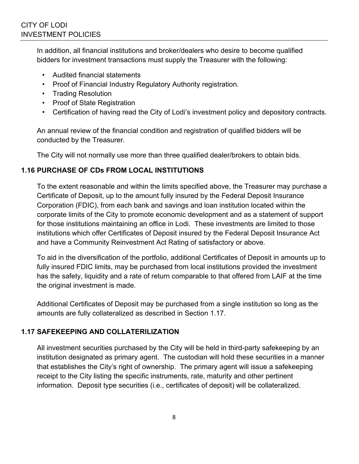In addition, all financial institutions and broker/dealers who desire to become qualified bidders for investment transactions must supply the Treasurer with the following:

- Audited financial statements
- Proof of Financial Industry Regulatory Authority registration.
- Trading Resolution
- Proof of State Registration
- Certification of having read the City of Lodi's investment policy and depository contracts.

An annual review of the financial condition and registration of qualified bidders will be conducted by the Treasurer.

The City will not normally use more than three qualified dealer/brokers to obtain bids.

## **1.16 PURCHASE OF CDs FROM LOCAL INSTITUTIONS**

To the extent reasonable and within the limits specified above, the Treasurer may purchase a Certificate of Deposit, up to the amount fully insured by the Federal Deposit Insurance Corporation (FDIC), from each bank and savings and loan institution located within the corporate limits of the City to promote economic development and as a statement of support for those institutions maintaining an office in Lodi. These investments are limited to those institutions which offer Certificates of Deposit insured by the Federal Deposit Insurance Act and have a Community Reinvestment Act Rating of satisfactory or above.

To aid in the diversification of the portfolio, additional Certificates of Deposit in amounts up to fully insured FDIC limits, may be purchased from local institutions provided the investment has the safety, liquidity and a rate of return comparable to that offered from LAIF at the time the original investment is made.

Additional Certificates of Deposit may be purchased from a single institution so long as the amounts are fully collateralized as described in Section 1.17.

## **1.17 SAFEKEEPING AND COLLATERILIZATION**

All investment securities purchased by the City will be held in third-party safekeeping by an institution designated as primary agent. The custodian will hold these securities in a manner that establishes the City's right of ownership. The primary agent will issue a safekeeping receipt to the City listing the specific instruments, rate, maturity and other pertinent information. Deposit type securities (i.e., certificates of deposit) will be collateralized.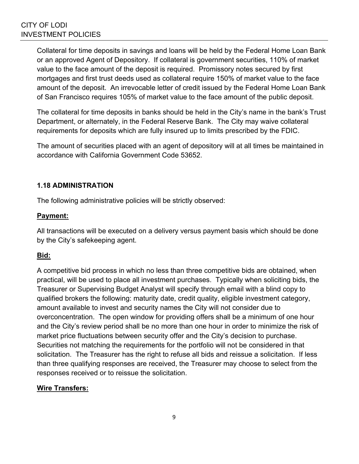Collateral for time deposits in savings and loans will be held by the Federal Home Loan Bank or an approved Agent of Depository. If collateral is government securities, 110% of market value to the face amount of the deposit is required. Promissory notes secured by first mortgages and first trust deeds used as collateral require 150% of market value to the face amount of the deposit. An irrevocable letter of credit issued by the Federal Home Loan Bank of San Francisco requires 105% of market value to the face amount of the public deposit.

The collateral for time deposits in banks should be held in the City's name in the bank's Trust Department, or alternately, in the Federal Reserve Bank. The City may waive collateral requirements for deposits which are fully insured up to limits prescribed by the FDIC.

The amount of securities placed with an agent of depository will at all times be maintained in accordance with California Government Code 53652.

## **1.18 ADMINISTRATION**

The following administrative policies will be strictly observed:

#### **Payment:**

All transactions will be executed on a delivery versus payment basis which should be done by the City's safekeeping agent.

#### **Bid:**

A competitive bid process in which no less than three competitive bids are obtained, when practical, will be used to place all investment purchases. Typically when soliciting bids, the Treasurer or Supervising Budget Analyst will specify through email with a blind copy to qualified brokers the following: maturity date, credit quality, eligible investment category, amount available to invest and security names the City will not consider due to overconcentration. The open window for providing offers shall be a minimum of one hour and the City's review period shall be no more than one hour in order to minimize the risk of market price fluctuations between security offer and the City's decision to purchase. Securities not matching the requirements for the portfolio will not be considered in that solicitation. The Treasurer has the right to refuse all bids and reissue a solicitation. If less than three qualifying responses are received, the Treasurer may choose to select from the responses received or to reissue the solicitation.

#### **Wire Transfers:**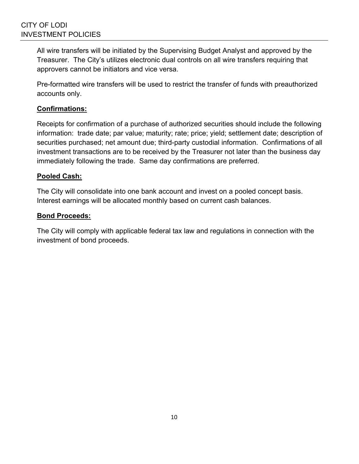All wire transfers will be initiated by the Supervising Budget Analyst and approved by the Treasurer. The City's utilizes electronic dual controls on all wire transfers requiring that approvers cannot be initiators and vice versa.

Pre-formatted wire transfers will be used to restrict the transfer of funds with preauthorized accounts only.

## **Confirmations:**

Receipts for confirmation of a purchase of authorized securities should include the following information: trade date; par value; maturity; rate; price; yield; settlement date; description of securities purchased; net amount due; third-party custodial information. Confirmations of all investment transactions are to be received by the Treasurer not later than the business day immediately following the trade. Same day confirmations are preferred.

#### **Pooled Cash:**

The City will consolidate into one bank account and invest on a pooled concept basis. Interest earnings will be allocated monthly based on current cash balances.

#### **Bond Proceeds:**

The City will comply with applicable federal tax law and regulations in connection with the investment of bond proceeds.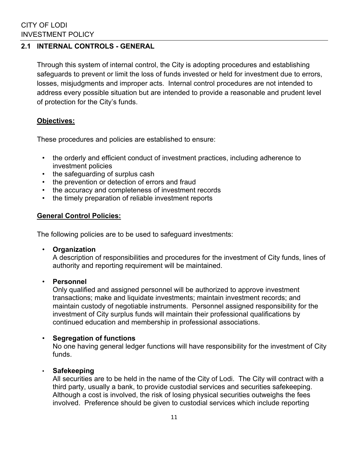## **2.1 INTERNAL CONTROLS - GENERAL**

Through this system of internal control, the City is adopting procedures and establishing safeguards to prevent or limit the loss of funds invested or held for investment due to errors, losses, misjudgments and improper acts. Internal control procedures are not intended to address every possible situation but are intended to provide a reasonable and prudent level of protection for the City's funds.

#### **Objectives:**

These procedures and policies are established to ensure:

- the orderly and efficient conduct of investment practices, including adherence to investment policies
- the safeguarding of surplus cash
- the prevention or detection of errors and fraud
- the accuracy and completeness of investment records
- the timely preparation of reliable investment reports

#### **General Control Policies:**

The following policies are to be used to safeguard investments:

• **Organization**

A description of responsibilities and procedures for the investment of City funds, lines of authority and reporting requirement will be maintained.

#### • **Personnel**

Only qualified and assigned personnel will be authorized to approve investment transactions; make and liquidate investments; maintain investment records; and maintain custody of negotiable instruments. Personnel assigned responsibility for the investment of City surplus funds will maintain their professional qualifications by continued education and membership in professional associations.

#### • **Segregation of functions**

No one having general ledger functions will have responsibility for the investment of City funds.

#### • **Safekeeping**

All securities are to be held in the name of the City of Lodi. The City will contract with a third party, usually a bank, to provide custodial services and securities safekeeping. Although a cost is involved, the risk of losing physical securities outweighs the fees involved. Preference should be given to custodial services which include reporting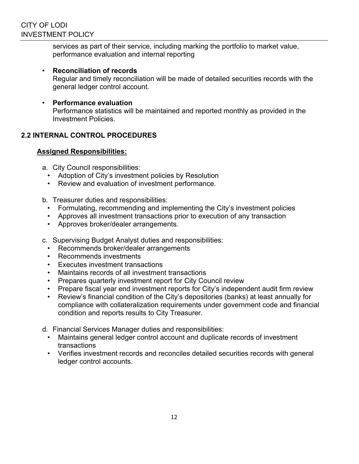services as part of their service, including marking the portfolio to market value, performance evaluation and internal reporting

- **Reconciliation of records**  Regular and timely reconciliation will be made of detailed securities records with the general ledger control account.
- **Performance evaluation**  Performance statistics will be maintained and reported monthly as provided in the Investment Policies.

## **2.2 INTERNAL CONTROL PROCEDURES**

## **Assigned Responsibilities:**

- a. City Council responsibilities:
	- Adoption of City's investment policies by Resolution
	- Review and evaluation of investment performance.
- b. Treasurer duties and responsibilities:
	- Formulating, recommending and implementing the City's investment policies
	- Approves all investment transactions prior to execution of any transaction
	- Approves broker/dealer arrangements.
- c. Supervising Budget Analyst duties and responsibilities:
	- Recommends broker/dealer arrangements
	- Recommends investments
	- Executes investment transactions
	- Maintains records of all investment transactions
	- Prepares quarterly investment report for City Council review
	- Prepare fiscal year end investment reports for City's independent audit firm review
	- Review's financial condition of the City's depositories (banks) at least annually for compliance with collateralization requirements under government code and financial condition and reports results to City Treasurer.
- d. Financial Services Manager duties and responsibilities:
	- Maintains general ledger control account and duplicate records of investment transactions
	- Verifies investment records and reconciles detailed securities records with general ledger control accounts.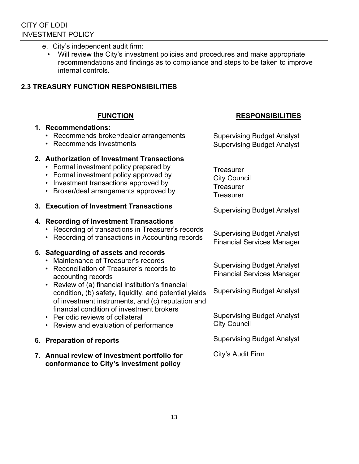- e. City's independent audit firm:
	- Will review the City's investment policies and procedures and make appropriate recommendations and findings as to compliance and steps to be taken to improve internal controls.

## **2.3 TREASURY FUNCTION RESPONSIBILITIES**

#### **FUNCTION**

#### **1. Recommendations:**

- Recommends broker/dealer arrangements
- Recommends investments

## **2. Authorization of Investment Transactions**

- Formal investment policy prepared by
- Formal investment policy approved by
- Investment transactions approved by
- Broker/deal arrangements approved by
- **3. Execution of Investment Transactions**

#### **4. Recording of Investment Transactions**

- Recording of transactions in Treasurer's records
- Recording of transactions in Accounting records

#### **5. Safeguarding of assets and records**

- Maintenance of Treasurer's records
- Reconciliation of Treasurer's records to accounting records
- Review of (a) financial institution's financial condition, (b) safety, liquidity, and potential yields of investment instruments, and (c) reputation and financial condition of investment brokers
- Periodic reviews of collateral
- Review and evaluation of performance

#### **6. Preparation of reports**

**7. Annual review of investment portfolio for conformance to City's investment policy** 

## **RESPONSIBILITIES**

Supervising Budget Analyst Supervising Budget Analyst

**Treasurer** City Council **Treasurer Treasurer** 

Supervising Budget Analyst

Supervising Budget Analyst Financial Services Manager

Supervising Budget Analyst Financial Services Manager

Supervising Budget Analyst

Supervising Budget Analyst City Council

Supervising Budget Analyst

City's Audit Firm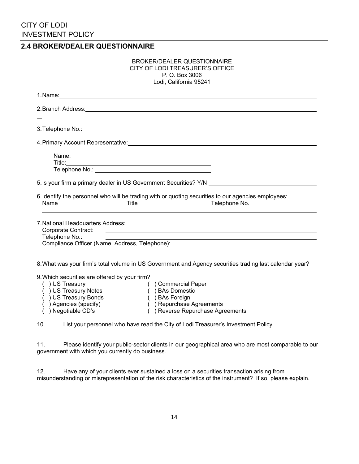**2.4 BROKER/DEALER QUESTIONNAIRE** 

| P. O. Box 3006<br>Lodi, California 95241                                                                                      |
|-------------------------------------------------------------------------------------------------------------------------------|
| 1. Name: <u>Cambridge Communication</u> Communication Communication Communication Communication Communication Communication   |
|                                                                                                                               |
|                                                                                                                               |
|                                                                                                                               |
|                                                                                                                               |
|                                                                                                                               |
|                                                                                                                               |
|                                                                                                                               |
|                                                                                                                               |
| 5. Is your firm a primary dealer in US Government Securities? Y/N ______________                                              |
| 6. Identify the personnel who will be trading with or quoting securities to our agencies employees:<br>Telephone No.<br>Title |
|                                                                                                                               |
| 7. National Headquarters Address:                                                                                             |
| Compliance Officer (Name, Address, Telephone):                                                                                |
|                                                                                                                               |

BROKER/DEALER QUESTIONNAIRE

 ( ) US Treasury Notes ( ) BAs Domestic ( ) US Treasury Bonds ( ) BAs Foreign<br>( ) Agencies (specify) ( ) Repurchase ( ) Agencies (specify)  $($  ) Repurchase Agreements<br>
( ) Negotiable CD's ( ) Reverse Repurchase Agreements

- 
- (
) Reverse Repurchase Agreements

10. List your personnel who have read the City of Lodi Treasurer's Investment Policy.

11. Please identify your public-sector clients in our geographical area who are most comparable to our government with which you currently do business.

| 12. |  |  | Have any of your clients ever sustained a loss on a securities transaction arising from                     |  |  |
|-----|--|--|-------------------------------------------------------------------------------------------------------------|--|--|
|     |  |  | misunderstanding or misrepresentation of the risk characteristics of the instrument? If so, please explain. |  |  |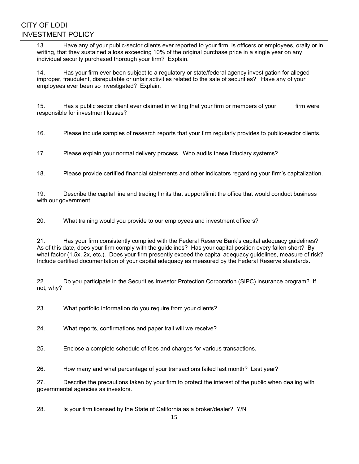13. Have any of your public-sector clients ever reported to your firm, is officers or employees, orally or in writing, that they sustained a loss exceeding 10% of the original purchase price in a single year on any individual security purchased thorough your firm? Explain.

14. Has your firm ever been subject to a regulatory or state/federal agency investigation for alleged improper, fraudulent, disreputable or unfair activities related to the sale of securities? Have any of your employees ever been so investigated? Explain.

15. Has a public sector client ever claimed in writing that your firm or members of your firm were responsible for investment losses?

16. Please include samples of research reports that your firm regularly provides to public-sector clients.

17. Please explain your normal delivery process. Who audits these fiduciary systems?

18. Please provide certified financial statements and other indicators regarding your firm's capitalization.

19. Describe the capital line and trading limits that support/limit the office that would conduct business with our government.

20. What training would you provide to our employees and investment officers?

21. Has your firm consistently complied with the Federal Reserve Bank's capital adequacy guidelines? As of this date, does your firm comply with the guidelines? Has your capital position every fallen short? By what factor (1.5x, 2x, etc.). Does your firm presently exceed the capital adequacy guidelines, measure of risk? Include certified documentation of your capital adequacy as measured by the Federal Reserve standards.

22. Do you participate in the Securities Investor Protection Corporation (SIPC) insurance program? If not, why?

23. What portfolio information do you require from your clients?

24. What reports, confirmations and paper trail will we receive?

25. Enclose a complete schedule of fees and charges for various transactions.

26. How many and what percentage of your transactions failed last month? Last year?

27. Describe the precautions taken by your firm to protect the interest of the public when dealing with governmental agencies as investors.

28. Is your firm licensed by the State of California as a broker/dealer? Y/N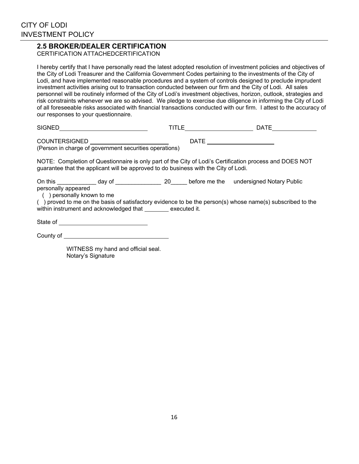#### **2.5 BROKER/DEALER CERTIFICATION**

CERTIFICATION ATTACHEDCERTIFICATION

I hereby certify that I have personally read the latest adopted resolution of investment policies and objectives of the City of Lodi Treasurer and the California Government Codes pertaining to the investments of the City of Lodi, and have implemented reasonable procedures and a system of controls designed to preclude imprudent investment activities arising out to transaction conducted between our firm and the City of Lodi. All sales personnel will be routinely informed of the City of Lodi's investment objectives, horizon, outlook, strategies and risk constraints whenever we are so advised. We pledge to exercise due diligence in informing the City of Lodi of all foreseeable risks associated with financial transactions conducted with our firm. I attest to the accuracy of our responses to your questionnaire.

| <b>SIGNED</b>                                                                  | TITLE | <b>DATE</b> |
|--------------------------------------------------------------------------------|-------|-------------|
| <b>COUNTERSIGNED</b><br>(Person in charge of government securities operations) | DATE  |             |

NOTE: Completion of Questionnaire is only part of the City of Lodi's Certification process and DOES NOT guarantee that the applicant will be approved to do business with the City of Lodi.

On this \_\_\_\_\_\_\_\_\_\_\_\_ day of \_\_\_\_\_\_\_\_\_\_\_\_\_\_ 20\_\_\_\_\_ before me the undersigned Notary Public personally appeared

( ) personally known to me

( ) proved to me on the basis of satisfactory evidence to be the person(s) whose name(s) subscribed to the within instrument and acknowledged that executed it.

State of <u>state of</u> state of state of state of state of state of state of state of state of state of state of state of state of state of state of state of state of state of state of state of state of state of state of stat

County of <u>superiors</u>

 WITNESS my hand and official seal. Notary's Signature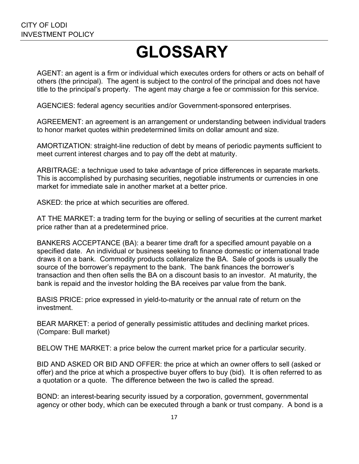# **GLOSSARY**

AGENT: an agent is a firm or individual which executes orders for others or acts on behalf of others (the principal). The agent is subject to the control of the principal and does not have title to the principal's property. The agent may charge a fee or commission for this service.

AGENCIES: federal agency securities and/or Government-sponsored enterprises.

AGREEMENT: an agreement is an arrangement or understanding between individual traders to honor market quotes within predetermined limits on dollar amount and size.

AMORTIZATION: straight-line reduction of debt by means of periodic payments sufficient to meet current interest charges and to pay off the debt at maturity.

ARBITRAGE: a technique used to take advantage of price differences in separate markets. This is accomplished by purchasing securities, negotiable instruments or currencies in one market for immediate sale in another market at a better price.

ASKED: the price at which securities are offered.

AT THE MARKET: a trading term for the buying or selling of securities at the current market price rather than at a predetermined price.

BANKERS ACCEPTANCE (BA): a bearer time draft for a specified amount payable on a specified date. An individual or business seeking to finance domestic or international trade draws it on a bank. Commodity products collateralize the BA. Sale of goods is usually the source of the borrower's repayment to the bank. The bank finances the borrower's transaction and then often sells the BA on a discount basis to an investor. At maturity, the bank is repaid and the investor holding the BA receives par value from the bank.

BASIS PRICE: price expressed in yield-to-maturity or the annual rate of return on the investment.

BEAR MARKET: a period of generally pessimistic attitudes and declining market prices. (Compare: Bull market)

BELOW THE MARKET: a price below the current market price for a particular security.

BID AND ASKED OR BID AND OFFER: the price at which an owner offers to sell (asked or offer) and the price at which a prospective buyer offers to buy (bid). It is often referred to as a quotation or a quote. The difference between the two is called the spread.

BOND: an interest-bearing security issued by a corporation, government, governmental agency or other body, which can be executed through a bank or trust company. A bond is a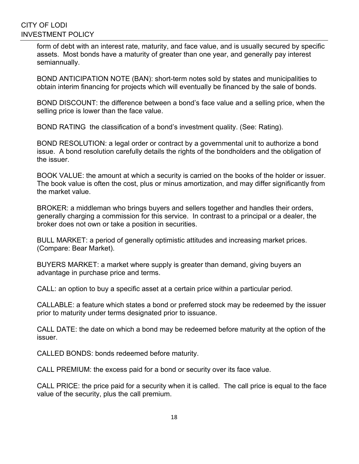form of debt with an interest rate, maturity, and face value, and is usually secured by specific assets. Most bonds have a maturity of greater than one year, and generally pay interest semiannually.

BOND ANTICIPATION NOTE (BAN): short-term notes sold by states and municipalities to obtain interim financing for projects which will eventually be financed by the sale of bonds.

BOND DISCOUNT: the difference between a bond's face value and a selling price, when the selling price is lower than the face value.

BOND RATING the classification of a bond's investment quality. (See: Rating).

BOND RESOLUTION: a legal order or contract by a governmental unit to authorize a bond issue. A bond resolution carefully details the rights of the bondholders and the obligation of the issuer.

BOOK VALUE: the amount at which a security is carried on the books of the holder or issuer. The book value is often the cost, plus or minus amortization, and may differ significantly from the market value.

BROKER: a middleman who brings buyers and sellers together and handles their orders, generally charging a commission for this service. In contrast to a principal or a dealer, the broker does not own or take a position in securities.

BULL MARKET: a period of generally optimistic attitudes and increasing market prices. (Compare: Bear Market).

BUYERS MARKET: a market where supply is greater than demand, giving buyers an advantage in purchase price and terms.

CALL: an option to buy a specific asset at a certain price within a particular period.

CALLABLE: a feature which states a bond or preferred stock may be redeemed by the issuer prior to maturity under terms designated prior to issuance.

CALL DATE: the date on which a bond may be redeemed before maturity at the option of the issuer.

CALLED BONDS: bonds redeemed before maturity.

CALL PREMIUM: the excess paid for a bond or security over its face value.

CALL PRICE: the price paid for a security when it is called. The call price is equal to the face value of the security, plus the call premium.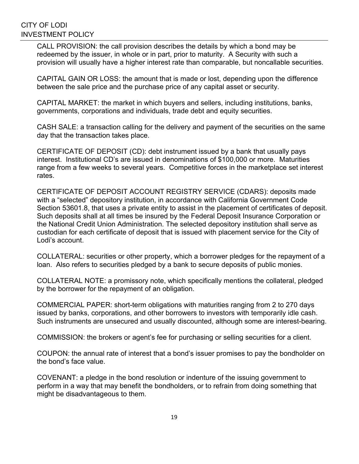CALL PROVISION: the call provision describes the details by which a bond may be redeemed by the issuer, in whole or in part, prior to maturity. A Security with such a provision will usually have a higher interest rate than comparable, but noncallable securities.

CAPITAL GAIN OR LOSS: the amount that is made or lost, depending upon the difference between the sale price and the purchase price of any capital asset or security.

CAPITAL MARKET: the market in which buyers and sellers, including institutions, banks, governments, corporations and individuals, trade debt and equity securities.

CASH SALE: a transaction calling for the delivery and payment of the securities on the same day that the transaction takes place.

CERTIFICATE OF DEPOSIT (CD): debt instrument issued by a bank that usually pays interest. Institutional CD's are issued in denominations of \$100,000 or more. Maturities range from a few weeks to several years. Competitive forces in the marketplace set interest rates.

CERTIFICATE OF DEPOSIT ACCOUNT REGISTRY SERVICE (CDARS): deposits made with a "selected" depository institution, in accordance with California Government Code Section 53601.8, that uses a private entity to assist in the placement of certificates of deposit. Such deposits shall at all times be insured by the Federal Deposit Insurance Corporation or the National Credit Union Administration. The selected depository institution shall serve as custodian for each certificate of deposit that is issued with placement service for the City of Lodi's account.

COLLATERAL: securities or other property, which a borrower pledges for the repayment of a loan. Also refers to securities pledged by a bank to secure deposits of public monies.

COLLATERAL NOTE: a promissory note, which specifically mentions the collateral, pledged by the borrower for the repayment of an obligation.

COMMERCIAL PAPER: short-term obligations with maturities ranging from 2 to 270 days issued by banks, corporations, and other borrowers to investors with temporarily idle cash. Such instruments are unsecured and usually discounted, although some are interest-bearing.

COMMISSION: the brokers or agent's fee for purchasing or selling securities for a client.

COUPON: the annual rate of interest that a bond's issuer promises to pay the bondholder on the bond's face value.

COVENANT: a pledge in the bond resolution or indenture of the issuing government to perform in a way that may benefit the bondholders, or to refrain from doing something that might be disadvantageous to them.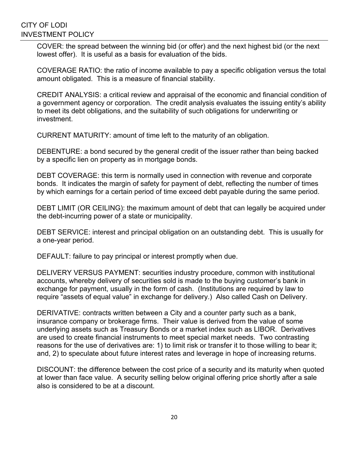COVER: the spread between the winning bid (or offer) and the next highest bid (or the next lowest offer). It is useful as a basis for evaluation of the bids.

COVERAGE RATIO: the ratio of income available to pay a specific obligation versus the total amount obligated. This is a measure of financial stability.

CREDIT ANALYSIS: a critical review and appraisal of the economic and financial condition of a government agency or corporation. The credit analysis evaluates the issuing entity's ability to meet its debt obligations, and the suitability of such obligations for underwriting or investment.

CURRENT MATURITY: amount of time left to the maturity of an obligation.

DEBENTURE: a bond secured by the general credit of the issuer rather than being backed by a specific lien on property as in mortgage bonds.

DEBT COVERAGE: this term is normally used in connection with revenue and corporate bonds. It indicates the margin of safety for payment of debt, reflecting the number of times by which earnings for a certain period of time exceed debt payable during the same period.

DEBT LIMIT (OR CEILING): the maximum amount of debt that can legally be acquired under the debt-incurring power of a state or municipality.

DEBT SERVICE: interest and principal obligation on an outstanding debt. This is usually for a one-year period.

DEFAULT: failure to pay principal or interest promptly when due.

DELIVERY VERSUS PAYMENT: securities industry procedure, common with institutional accounts, whereby delivery of securities sold is made to the buying customer's bank in exchange for payment, usually in the form of cash. (Institutions are required by law to require "assets of equal value" in exchange for delivery.) Also called Cash on Delivery.

DERIVATIVE: contracts written between a City and a counter party such as a bank, insurance company or brokerage firms. Their value is derived from the value of some underlying assets such as Treasury Bonds or a market index such as LIBOR. Derivatives are used to create financial instruments to meet special market needs. Two contrasting reasons for the use of derivatives are: 1) to limit risk or transfer it to those willing to bear it; and, 2) to speculate about future interest rates and leverage in hope of increasing returns.

DISCOUNT: the difference between the cost price of a security and its maturity when quoted at lower than face value. A security selling below original offering price shortly after a sale also is considered to be at a discount.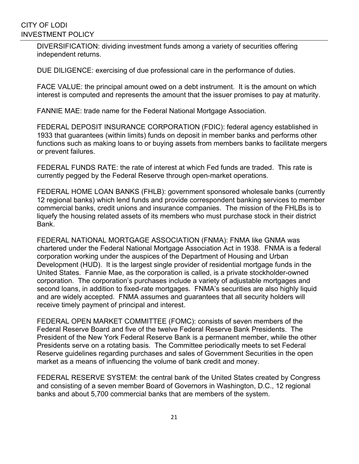DIVERSIFICATION: dividing investment funds among a variety of securities offering independent returns.

DUE DILIGENCE: exercising of due professional care in the performance of duties.

FACE VALUE: the principal amount owed on a debt instrument. It is the amount on which interest is computed and represents the amount that the issuer promises to pay at maturity.

FANNIE MAE: trade name for the Federal National Mortgage Association.

FEDERAL DEPOSIT INSURANCE CORPORATION (FDIC): federal agency established in 1933 that guarantees (within limits) funds on deposit in member banks and performs other functions such as making loans to or buying assets from members banks to facilitate mergers or prevent failures.

FEDERAL FUNDS RATE: the rate of interest at which Fed funds are traded. This rate is currently pegged by the Federal Reserve through open-market operations.

FEDERAL HOME LOAN BANKS (FHLB): government sponsored wholesale banks (currently 12 regional banks) which lend funds and provide correspondent banking services to member commercial banks, credit unions and insurance companies. The mission of the FHLBs is to liquefy the housing related assets of its members who must purchase stock in their district Bank.

FEDERAL NATIONAL MORTGAGE ASSOCIATION (FNMA): FNMA like GNMA was chartered under the Federal National Mortgage Association Act in 1938. FNMA is a federal corporation working under the auspices of the Department of Housing and Urban Development (HUD). It is the largest single provider of residential mortgage funds in the United States. Fannie Mae, as the corporation is called, is a private stockholder-owned corporation. The corporation's purchases include a variety of adjustable mortgages and second loans, in addition to fixed-rate mortgages. FNMA's securities are also highly liquid and are widely accepted. FNMA assumes and guarantees that all security holders will receive timely payment of principal and interest.

FEDERAL OPEN MARKET COMMITTEE (FOMC): consists of seven members of the Federal Reserve Board and five of the twelve Federal Reserve Bank Presidents. The President of the New York Federal Reserve Bank is a permanent member, while the other Presidents serve on a rotating basis. The Committee periodically meets to set Federal Reserve guidelines regarding purchases and sales of Government Securities in the open market as a means of influencing the volume of bank credit and money.

FEDERAL RESERVE SYSTEM: the central bank of the United States created by Congress and consisting of a seven member Board of Governors in Washington, D.C., 12 regional banks and about 5,700 commercial banks that are members of the system.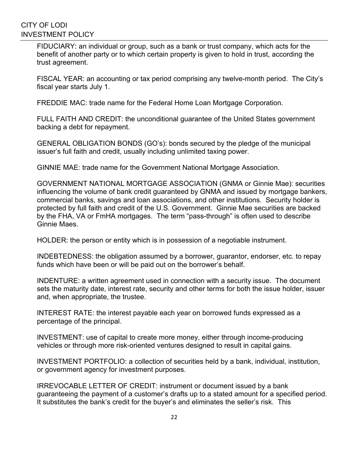FIDUCIARY: an individual or group, such as a bank or trust company, which acts for the benefit of another party or to which certain property is given to hold in trust, according the trust agreement.

FISCAL YEAR: an accounting or tax period comprising any twelve-month period. The City's fiscal year starts July 1.

FREDDIE MAC: trade name for the Federal Home Loan Mortgage Corporation.

FULL FAITH AND CREDIT: the unconditional guarantee of the United States government backing a debt for repayment.

GENERAL OBLIGATION BONDS (GO's): bonds secured by the pledge of the municipal issuer's full faith and credit, usually including unlimited taxing power.

GINNIE MAE: trade name for the Government National Mortgage Association.

GOVERNMENT NATIONAL MORTGAGE ASSOCIATION (GNMA or Ginnie Mae): securities influencing the volume of bank credit guaranteed by GNMA and issued by mortgage bankers, commercial banks, savings and loan associations, and other institutions. Security holder is protected by full faith and credit of the U.S. Government. Ginnie Mae securities are backed by the FHA, VA or FmHA mortgages. The term "pass-through" is often used to describe Ginnie Maes.

HOLDER: the person or entity which is in possession of a negotiable instrument.

INDEBTEDNESS: the obligation assumed by a borrower, guarantor, endorser, etc. to repay funds which have been or will be paid out on the borrower's behalf.

INDENTURE: a written agreement used in connection with a security issue. The document sets the maturity date, interest rate, security and other terms for both the issue holder, issuer and, when appropriate, the trustee.

INTEREST RATE: the interest payable each year on borrowed funds expressed as a percentage of the principal.

INVESTMENT: use of capital to create more money, either through income-producing vehicles or through more risk-oriented ventures designed to result in capital gains.

INVESTMENT PORTFOLIO: a collection of securities held by a bank, individual, institution, or government agency for investment purposes.

IRREVOCABLE LETTER OF CREDIT: instrument or document issued by a bank guaranteeing the payment of a customer's drafts up to a stated amount for a specified period. It substitutes the bank's credit for the buyer's and eliminates the seller's risk. This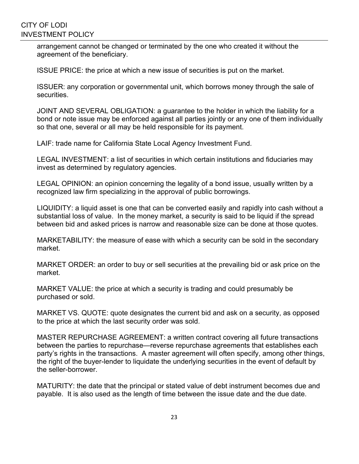arrangement cannot be changed or terminated by the one who created it without the agreement of the beneficiary.

ISSUE PRICE: the price at which a new issue of securities is put on the market.

ISSUER: any corporation or governmental unit, which borrows money through the sale of securities.

JOINT AND SEVERAL OBLIGATION: a guarantee to the holder in which the liability for a bond or note issue may be enforced against all parties jointly or any one of them individually so that one, several or all may be held responsible for its payment.

LAIF: trade name for California State Local Agency Investment Fund.

LEGAL INVESTMENT: a list of securities in which certain institutions and fiduciaries may invest as determined by regulatory agencies.

LEGAL OPINION: an opinion concerning the legality of a bond issue, usually written by a recognized law firm specializing in the approval of public borrowings.

LIQUIDITY: a liquid asset is one that can be converted easily and rapidly into cash without a substantial loss of value. In the money market, a security is said to be liquid if the spread between bid and asked prices is narrow and reasonable size can be done at those quotes.

MARKETABILITY: the measure of ease with which a security can be sold in the secondary market.

MARKET ORDER: an order to buy or sell securities at the prevailing bid or ask price on the market.

MARKET VALUE: the price at which a security is trading and could presumably be purchased or sold.

MARKET VS. QUOTE: quote designates the current bid and ask on a security, as opposed to the price at which the last security order was sold.

MASTER REPURCHASE AGREEMENT: a written contract covering all future transactions between the parties to repurchase—reverse repurchase agreements that establishes each party's rights in the transactions. A master agreement will often specify, among other things, the right of the buyer-lender to liquidate the underlying securities in the event of default by the seller-borrower.

MATURITY: the date that the principal or stated value of debt instrument becomes due and payable. It is also used as the length of time between the issue date and the due date.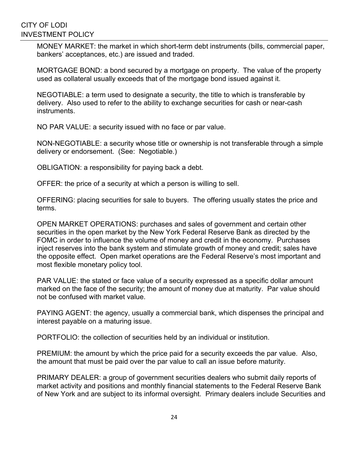MONEY MARKET: the market in which short-term debt instruments (bills, commercial paper, bankers' acceptances, etc.) are issued and traded.

MORTGAGE BOND: a bond secured by a mortgage on property. The value of the property used as collateral usually exceeds that of the mortgage bond issued against it.

NEGOTIABLE: a term used to designate a security, the title to which is transferable by delivery. Also used to refer to the ability to exchange securities for cash or near-cash instruments.

NO PAR VALUE: a security issued with no face or par value.

NON-NEGOTIABLE: a security whose title or ownership is not transferable through a simple delivery or endorsement. (See: Negotiable.)

OBLIGATION: a responsibility for paying back a debt.

OFFER: the price of a security at which a person is willing to sell.

OFFERING: placing securities for sale to buyers. The offering usually states the price and terms.

OPEN MARKET OPERATIONS: purchases and sales of government and certain other securities in the open market by the New York Federal Reserve Bank as directed by the FOMC in order to influence the volume of money and credit in the economy. Purchases inject reserves into the bank system and stimulate growth of money and credit; sales have the opposite effect. Open market operations are the Federal Reserve's most important and most flexible monetary policy tool.

PAR VALUE: the stated or face value of a security expressed as a specific dollar amount marked on the face of the security; the amount of money due at maturity. Par value should not be confused with market value.

PAYING AGENT: the agency, usually a commercial bank, which dispenses the principal and interest payable on a maturing issue.

PORTFOLIO: the collection of securities held by an individual or institution.

PREMIUM: the amount by which the price paid for a security exceeds the par value. Also, the amount that must be paid over the par value to call an issue before maturity.

PRIMARY DEALER: a group of government securities dealers who submit daily reports of market activity and positions and monthly financial statements to the Federal Reserve Bank of New York and are subject to its informal oversight. Primary dealers include Securities and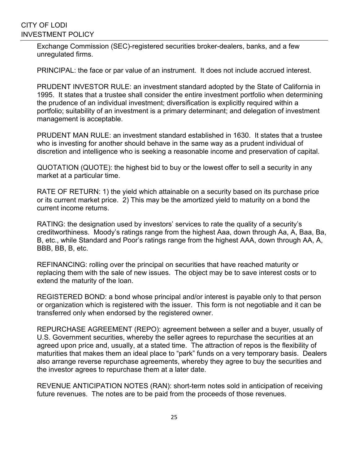Exchange Commission (SEC)-registered securities broker-dealers, banks, and a few unregulated firms.

PRINCIPAL: the face or par value of an instrument. It does not include accrued interest.

PRUDENT INVESTOR RULE: an investment standard adopted by the State of California in 1995. It states that a trustee shall consider the entire investment portfolio when determining the prudence of an individual investment; diversification is explicitly required within a portfolio; suitability of an investment is a primary determinant; and delegation of investment management is acceptable.

PRUDENT MAN RULE: an investment standard established in 1630. It states that a trustee who is investing for another should behave in the same way as a prudent individual of discretion and intelligence who is seeking a reasonable income and preservation of capital.

QUOTATION (QUOTE): the highest bid to buy or the lowest offer to sell a security in any market at a particular time.

RATE OF RETURN: 1) the yield which attainable on a security based on its purchase price or its current market price. 2) This may be the amortized yield to maturity on a bond the current income returns.

RATING: the designation used by investors' services to rate the quality of a security's creditworthiness. Moody's ratings range from the highest Aaa, down through Aa, A, Baa, Ba, B, etc., while Standard and Poor's ratings range from the highest AAA, down through AA, A, BBB, BB, B, etc.

REFINANCING: rolling over the principal on securities that have reached maturity or replacing them with the sale of new issues. The object may be to save interest costs or to extend the maturity of the loan.

REGISTERED BOND: a bond whose principal and/or interest is payable only to that person or organization which is registered with the issuer. This form is not negotiable and it can be transferred only when endorsed by the registered owner.

REPURCHASE AGREEMENT (REPO): agreement between a seller and a buyer, usually of U.S. Government securities, whereby the seller agrees to repurchase the securities at an agreed upon price and, usually, at a stated time. The attraction of repos is the flexibility of maturities that makes them an ideal place to "park" funds on a very temporary basis. Dealers also arrange reverse repurchase agreements, whereby they agree to buy the securities and the investor agrees to repurchase them at a later date.

REVENUE ANTICIPATION NOTES (RAN): short-term notes sold in anticipation of receiving future revenues. The notes are to be paid from the proceeds of those revenues.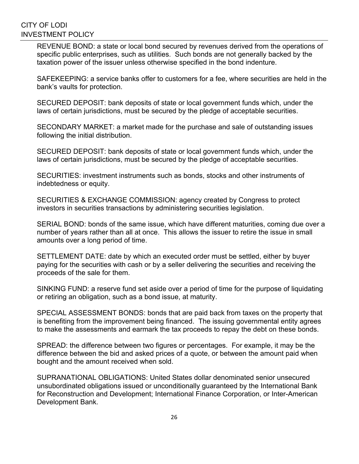REVENUE BOND: a state or local bond secured by revenues derived from the operations of specific public enterprises, such as utilities. Such bonds are not generally backed by the taxation power of the issuer unless otherwise specified in the bond indenture.

SAFEKEEPING: a service banks offer to customers for a fee, where securities are held in the bank's vaults for protection.

SECURED DEPOSIT: bank deposits of state or local government funds which, under the laws of certain jurisdictions, must be secured by the pledge of acceptable securities.

SECONDARY MARKET: a market made for the purchase and sale of outstanding issues following the initial distribution.

SECURED DEPOSIT: bank deposits of state or local government funds which, under the laws of certain jurisdictions, must be secured by the pledge of acceptable securities.

SECURITIES: investment instruments such as bonds, stocks and other instruments of indebtedness or equity.

SECURITIES & EXCHANGE COMMISSION: agency created by Congress to protect investors in securities transactions by administering securities legislation.

SERIAL BOND: bonds of the same issue, which have different maturities, coming due over a number of years rather than all at once. This allows the issuer to retire the issue in small amounts over a long period of time.

SETTLEMENT DATE: date by which an executed order must be settled, either by buyer paying for the securities with cash or by a seller delivering the securities and receiving the proceeds of the sale for them.

SINKING FUND: a reserve fund set aside over a period of time for the purpose of liquidating or retiring an obligation, such as a bond issue, at maturity.

SPECIAL ASSESSMENT BONDS: bonds that are paid back from taxes on the property that is benefiting from the improvement being financed. The issuing governmental entity agrees to make the assessments and earmark the tax proceeds to repay the debt on these bonds.

SPREAD: the difference between two figures or percentages. For example, it may be the difference between the bid and asked prices of a quote, or between the amount paid when bought and the amount received when sold.

SUPRANATIONAL OBLIGATIONS: United States dollar denominated senior unsecured unsubordinated obligations issued or unconditionally guaranteed by the International Bank for Reconstruction and Development; International Finance Corporation, or Inter-American Development Bank.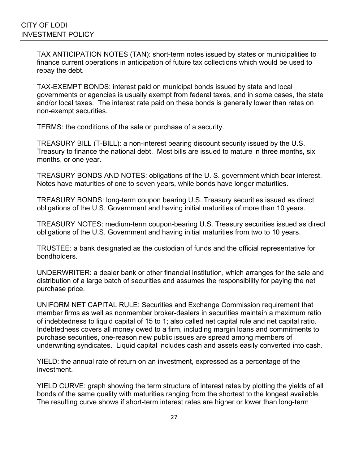TAX ANTICIPATION NOTES (TAN): short-term notes issued by states or municipalities to finance current operations in anticipation of future tax collections which would be used to repay the debt.

TAX-EXEMPT BONDS: interest paid on municipal bonds issued by state and local governments or agencies is usually exempt from federal taxes, and in some cases, the state and/or local taxes. The interest rate paid on these bonds is generally lower than rates on non-exempt securities.

TERMS: the conditions of the sale or purchase of a security.

TREASURY BILL (T-BILL): a non-interest bearing discount security issued by the U.S. Treasury to finance the national debt. Most bills are issued to mature in three months, six months, or one year.

TREASURY BONDS AND NOTES: obligations of the U. S. government which bear interest. Notes have maturities of one to seven years, while bonds have longer maturities.

TREASURY BONDS: long-term coupon bearing U.S. Treasury securities issued as direct obligations of the U.S. Government and having initial maturities of more than 10 years.

TREASURY NOTES: medium-term coupon-bearing U.S. Treasury securities issued as direct obligations of the U.S. Government and having initial maturities from two to 10 years.

TRUSTEE: a bank designated as the custodian of funds and the official representative for bondholders.

UNDERWRITER: a dealer bank or other financial institution, which arranges for the sale and distribution of a large batch of securities and assumes the responsibility for paying the net purchase price.

UNIFORM NET CAPITAL RULE: Securities and Exchange Commission requirement that member firms as well as nonmember broker-dealers in securities maintain a maximum ratio of indebtedness to liquid capital of 15 to 1; also called net capital rule and net capital ratio. Indebtedness covers all money owed to a firm, including margin loans and commitments to purchase securities, one-reason new public issues are spread among members of underwriting syndicates. Liquid capital includes cash and assets easily converted into cash.

YIELD: the annual rate of return on an investment, expressed as a percentage of the investment.

YIELD CURVE: graph showing the term structure of interest rates by plotting the yields of all bonds of the same quality with maturities ranging from the shortest to the longest available. The resulting curve shows if short-term interest rates are higher or lower than long-term